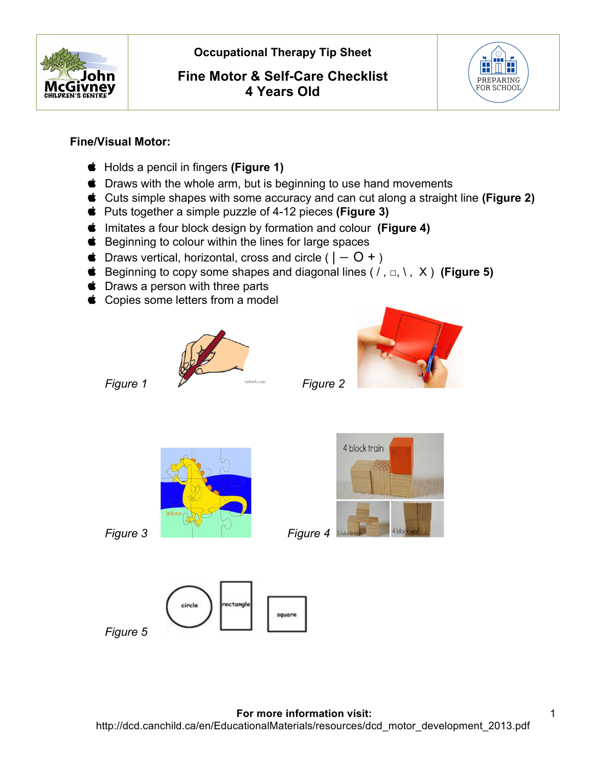

 **Occupational Therapy Tip Sheet** 

## **Fine Motor & Self-Care Checklist 4 Years Old**



#### **Fine/Visual Motor:**

- Holds a pencil in fingers **(Figure 1)**
- $\bullet$  Draws with the whole arm, but is beginning to use hand movements
- Cuts simple shapes with some accuracy and can cut along a straight line **(Figure 2)**
- Puts together a simple puzzle of 4-12 pieces **(Figure 3)**
- Imitates a four block design by formation and colour **(Figure 4)**
- $\bullet$  Beginning to colour within the lines for large spaces
- $\bullet$  Draws vertical, horizontal, cross and circle (  $|-O + P$
- Beginning to copy some shapes and diagonal lines ( / , □, \ , X ) **(Figure 5)**
- **S** Draws a person with three parts
- Copies some letters from a model